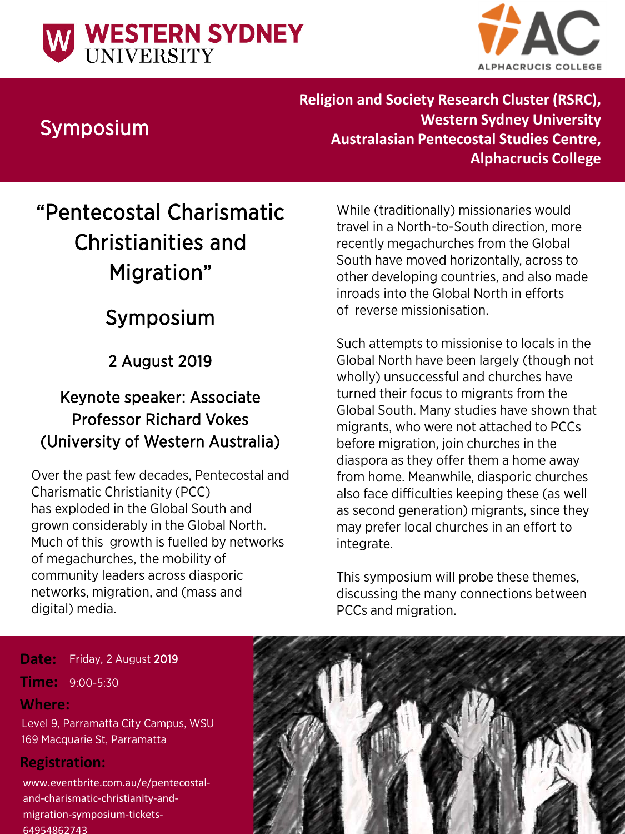



## Symposium

**Religion and Society Research Cluster (RSRC), Western Sydney University Australasian Pentecostal Studies Centre, Alphacrucis College**

# "Pentecostal Charismatic Christianities and Migration"

## Symposium

2 August 2019

## Keynote speaker: Associate Professor Richard Vokes (University of Western Australia)

Over the past few decades, Pentecostal and Charismatic Christianity (PCC) has exploded in the Global South and grown considerably in the Global North. Much of this growth is fuelled by networks of megachurches, the mobility of community leaders across diasporic networks, migration, and (mass and digital) media.

While (traditionally) missionaries would travel in a North-to-South direction, more recently megachurches from the Global South have moved horizontally, across to other developing countries, and also made inroads into the Global North in efforts of reverse missionisation.

Such attempts to missionise to locals in the Global North have been largely (though not wholly) unsuccessful and churches have turned their focus to migrants from the Global South. Many studies have shown that migrants, who were not attached to PCCs before migration, join churches in the diaspora as they offer them a home away from home. Meanwhile, diasporic churches also face difficulties keeping these (as well as second generation) migrants, since they may prefer local churches in an effort to integrate.

This symposium will probe these themes, discussing the many connections between PCCs and migration.

#### Friday, 2 August 2019 **Date:**

### **Time:** 9:00-5:30

### **Where:**

Level 9, Parramatta City Campus, WSU 169 Macquarie St, Parramatta

### **Registration:**

www.eventbrite.com.au/e/pentecostaland-charismatic-christianity-andmigration-symposium-tickets-64954862743